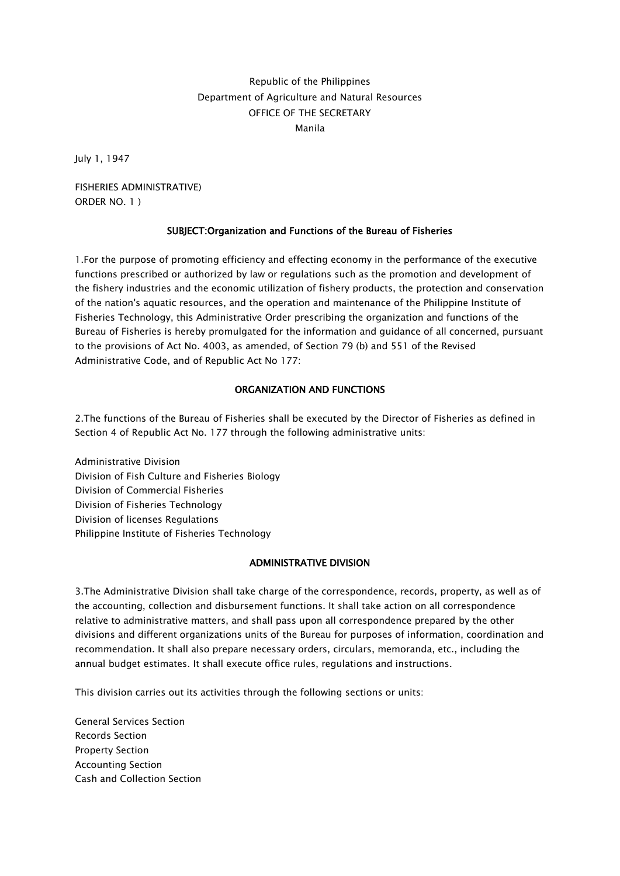# Republic of the Philippines Department of Agriculture and Natural Resources OFFICE OF THE SECRETARY Manila

July 1, 1947

FISHERIES ADMINISTRATIVE) ORDER NO. 1 )

## SUBJECT:Organization and Functions of the Bureau of Fisheries

1.For the purpose of promoting efficiency and effecting economy in the performance of the executive functions prescribed or authorized by law or regulations such as the promotion and development of the fishery industries and the economic utilization of fishery products, the protection and conservation of the nation's aquatic resources, and the operation and maintenance of the Philippine Institute of Fisheries Technology, this Administrative Order prescribing the organization and functions of the Bureau of Fisheries is hereby promulgated for the information and guidance of all concerned, pursuant to the provisions of Act No. 4003, as amended, of Section 79 (b) and 551 of the Revised Administrative Code, and of Republic Act No 177:

#### ORGANIZATION AND FUNCTIONS

2.The functions of the Bureau of Fisheries shall be executed by the Director of Fisheries as defined in Section 4 of Republic Act No. 177 through the following administrative units:

Administrative Division Division of Fish Culture and Fisheries Biology Division of Commercial Fisheries Division of Fisheries Technology Division of licenses Regulations Philippine Institute of Fisheries Technology

# ADMINISTRATIVE DIVISION

3.The Administrative Division shall take charge of the correspondence, records, property, as well as of the accounting, collection and disbursement functions. It shall take action on all correspondence relative to administrative matters, and shall pass upon all correspondence prepared by the other divisions and different organizations units of the Bureau for purposes of information, coordination and recommendation. It shall also prepare necessary orders, circulars, memoranda, etc., including the annual budget estimates. It shall execute office rules, regulations and instructions.

This division carries out its activities through the following sections or units:

General Services Section Records Section Property Section Accounting Section Cash and Collection Section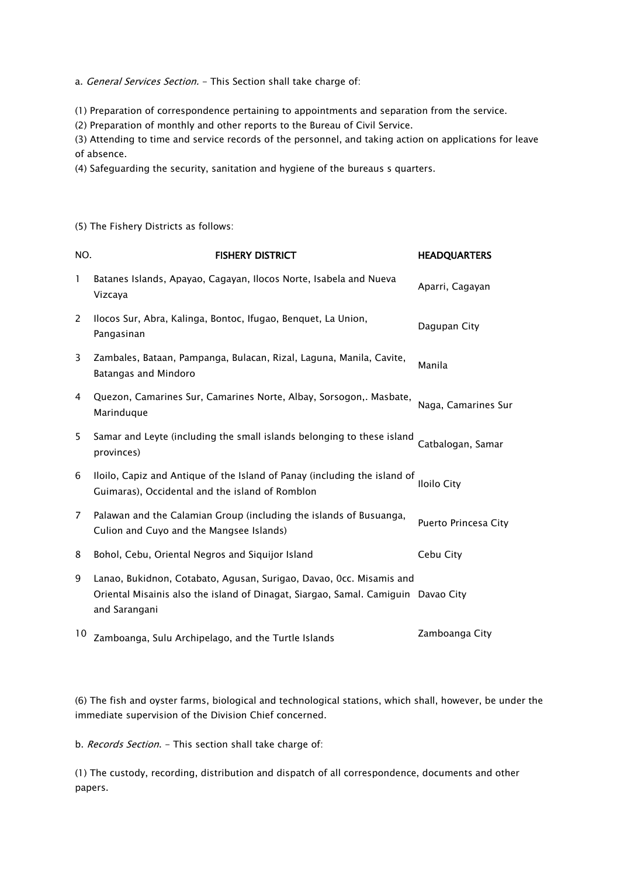a. General Services Section. - This Section shall take charge of:

(1) Preparation of correspondence pertaining to appointments and separation from the service.

(2) Preparation of monthly and other reports to the Bureau of Civil Service.

(3) Attending to time and service records of the personnel, and taking action on applications for leave of absence.

(4) Safeguarding the security, sanitation and hygiene of the bureaus s quarters.

(5) The Fishery Districts as follows:

| NO.            | <b>FISHERY DISTRICT</b>                                                                                                                                                   | <b>HEADQUARTERS</b>  |
|----------------|---------------------------------------------------------------------------------------------------------------------------------------------------------------------------|----------------------|
| 1              | Batanes Islands, Apayao, Cagayan, Ilocos Norte, Isabela and Nueva<br>Vizcaya                                                                                              | Aparri, Cagayan      |
| 2              | Ilocos Sur, Abra, Kalinga, Bontoc, Ifugao, Benquet, La Union,<br>Pangasinan                                                                                               | Dagupan City         |
| 3              | Zambales, Bataan, Pampanga, Bulacan, Rizal, Laguna, Manila, Cavite,<br>Batangas and Mindoro                                                                               | Manila               |
| 4              | Quezon, Camarines Sur, Camarines Norte, Albay, Sorsogon,. Masbate,<br>Marinduque                                                                                          | Naga, Camarines Sur  |
| 5              | Samar and Leyte (including the small islands belonging to these island<br>provinces)                                                                                      | Catbalogan, Samar    |
| 6              | Iloilo, Capiz and Antique of the Island of Panay (including the island of<br>Guimaras), Occidental and the island of Romblon                                              | <b>Iloilo City</b>   |
| $\overline{7}$ | Palawan and the Calamian Group (including the islands of Busuanga,<br>Culion and Cuyo and the Mangsee Islands)                                                            | Puerto Princesa City |
| 8              | Bohol, Cebu, Oriental Negros and Siquijor Island                                                                                                                          | Cebu City            |
| 9              | Lanao, Bukidnon, Cotabato, Agusan, Surigao, Davao, Occ. Misamis and<br>Oriental Misainis also the island of Dinagat, Siargao, Samal. Camiguin Davao City<br>and Sarangani |                      |
| 10             | Zamboanga, Sulu Archipelago, and the Turtle Islands                                                                                                                       | Zamboanga City       |

(6) The fish and oyster farms, biological and technological stations, which shall, however, be under the immediate supervision of the Division Chief concerned.

b. Records Section. - This section shall take charge of:

(1) The custody, recording, distribution and dispatch of all correspondence, documents and other papers.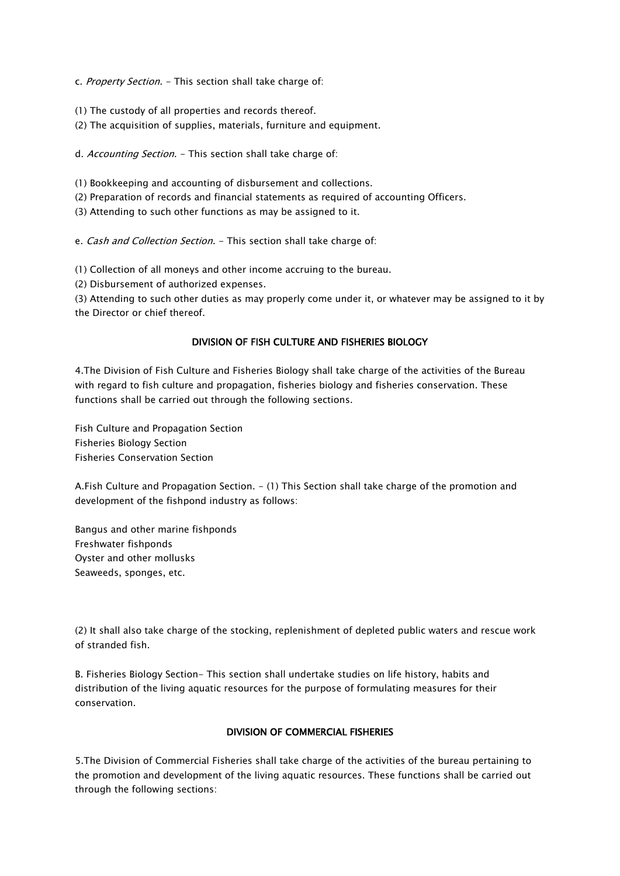c. Property Section. - This section shall take charge of:

- (1) The custody of all properties and records thereof.
- (2) The acquisition of supplies, materials, furniture and equipment.
- d. Accounting Section. This section shall take charge of:
- (1) Bookkeeping and accounting of disbursement and collections.
- (2) Preparation of records and financial statements as required of accounting Officers.
- (3) Attending to such other functions as may be assigned to it.

e. Cash and Collection Section. - This section shall take charge of:

(1) Collection of all moneys and other income accruing to the bureau.

(2) Disbursement of authorized expenses.

(3) Attending to such other duties as may properly come under it, or whatever may be assigned to it by the Director or chief thereof.

#### DIVISION OF FISH CULTURE AND FISHERIES BIOLOGY

4.The Division of Fish Culture and Fisheries Biology shall take charge of the activities of the Bureau with regard to fish culture and propagation, fisheries biology and fisheries conservation. These functions shall be carried out through the following sections.

Fish Culture and Propagation Section Fisheries Biology Section Fisheries Conservation Section

A.Fish Culture and Propagation Section. - (1) This Section shall take charge of the promotion and development of the fishpond industry as follows:

Bangus and other marine fishponds Freshwater fishponds Oyster and other mollusks Seaweeds, sponges, etc.

(2) It shall also take charge of the stocking, replenishment of depleted public waters and rescue work of stranded fish.

B. Fisheries Biology Section- This section shall undertake studies on life history, habits and distribution of the living aquatic resources for the purpose of formulating measures for their conservation.

## DIVISION OF COMMERCIAL FISHERIES

5.The Division of Commercial Fisheries shall take charge of the activities of the bureau pertaining to the promotion and development of the living aquatic resources. These functions shall be carried out through the following sections: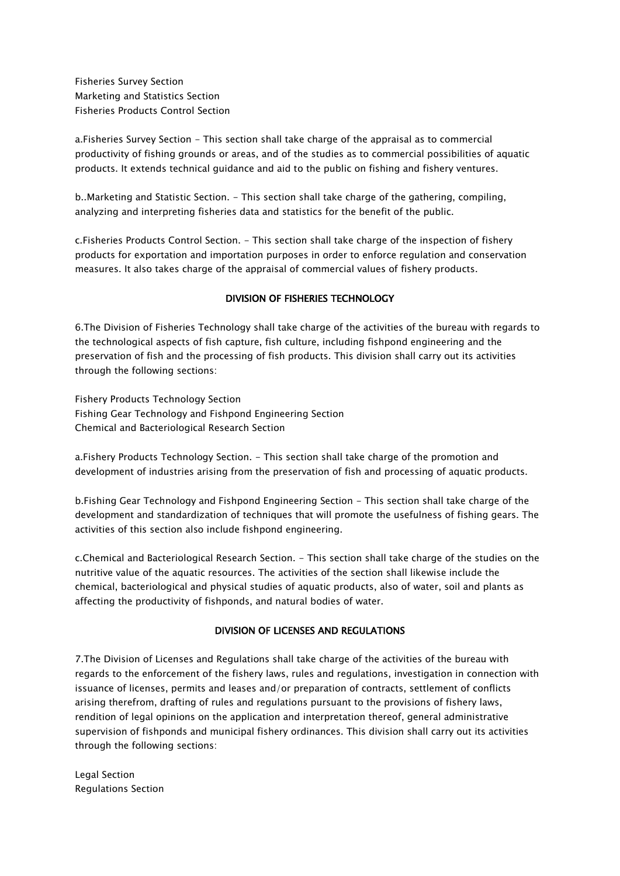Fisheries Survey Section Marketing and Statistics Section Fisheries Products Control Section

a.Fisheries Survey Section - This section shall take charge of the appraisal as to commercial productivity of fishing grounds or areas, and of the studies as to commercial possibilities of aquatic products. It extends technical guidance and aid to the public on fishing and fishery ventures.

b..Marketing and Statistic Section. - This section shall take charge of the gathering, compiling, analyzing and interpreting fisheries data and statistics for the benefit of the public.

c.Fisheries Products Control Section. - This section shall take charge of the inspection of fishery products for exportation and importation purposes in order to enforce regulation and conservation measures. It also takes charge of the appraisal of commercial values of fishery products.

# DIVISION OF FISHERIES TECHNOLOGY

6.The Division of Fisheries Technology shall take charge of the activities of the bureau with regards to the technological aspects of fish capture, fish culture, including fishpond engineering and the preservation of fish and the processing of fish products. This division shall carry out its activities through the following sections:

Fishery Products Technology Section Fishing Gear Technology and Fishpond Engineering Section Chemical and Bacteriological Research Section

a.Fishery Products Technology Section. - This section shall take charge of the promotion and development of industries arising from the preservation of fish and processing of aquatic products.

b.Fishing Gear Technology and Fishpond Engineering Section - This section shall take charge of the development and standardization of techniques that will promote the usefulness of fishing gears. The activities of this section also include fishpond engineering.

c.Chemical and Bacteriological Research Section. - This section shall take charge of the studies on the nutritive value of the aquatic resources. The activities of the section shall likewise include the chemical, bacteriological and physical studies of aquatic products, also of water, soil and plants as affecting the productivity of fishponds, and natural bodies of water.

## DIVISION OF LICENSES AND REGULATIONS

7.The Division of Licenses and Regulations shall take charge of the activities of the bureau with regards to the enforcement of the fishery laws, rules and regulations, investigation in connection with issuance of licenses, permits and leases and/or preparation of contracts, settlement of conflicts arising therefrom, drafting of rules and regulations pursuant to the provisions of fishery laws, rendition of legal opinions on the application and interpretation thereof, general administrative supervision of fishponds and municipal fishery ordinances. This division shall carry out its activities through the following sections:

Legal Section Regulations Section